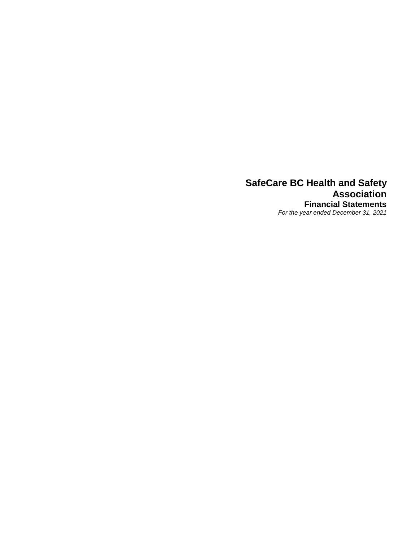## **SafeCare BC Health and Safety Association Financial Statements** *For the year ended December 31, 2021*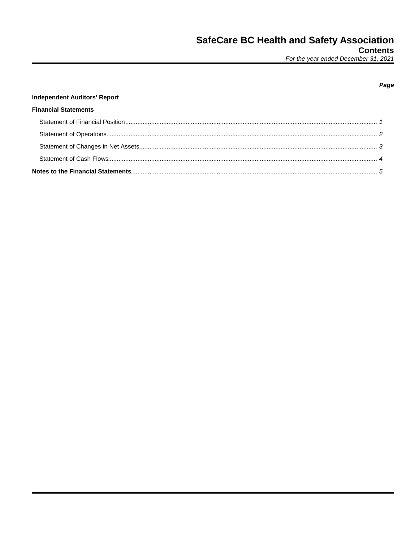For the year ended December 31, 2021

## Page

## **Independent Auditors' Report**

## **Financial Statements**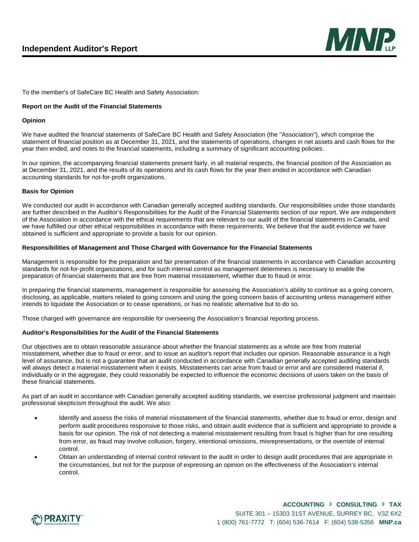

To the member's of SafeCare BC Health and Safety Association:

#### **Report on the Audit of the Financial Statements**

#### **Opinion**

We have audited the financial statements of SafeCare BC Health and Safety Association (the "Association"), which comprise the statement of financial position as at December 31, 2021, and the statements of operations, changes in net assets and cash flows for the year then ended, and notes to the financial statements, including a summary of significant accounting policies.

In our opinion, the accompanying financial statements present fairly, in all material respects, the financial position of the Association as at December 31, 2021, and the results of its operations and its cash flows for the year then ended in accordance with Canadian accounting standards for not-for-profit organizations.

#### **Basis for Opinion**

We conducted our audit in accordance with Canadian generally accepted auditing standards. Our responsibilities under those standards are further described in the Auditor's Responsibilities for the Audit of the Financial Statements section of our report. We are independent of the Association in accordance with the ethical requirements that are relevant to our audit of the financial statements in Canada, and we have fulfilled our other ethical responsibilities in accordance with these requirements. We believe that the audit evidence we have obtained is sufficient and appropriate to provide a basis for our opinion.

#### **Responsibilities of Management and Those Charged with Governance for the Financial Statements**

Management is responsible for the preparation and fair presentation of the financial statements in accordance with Canadian accounting standards for not-for-profit organizations, and for such internal control as management determines is necessary to enable the preparation of financial statements that are free from material misstatement, whether due to fraud or error.

In preparing the financial statements, management is responsible for assessing the Association's ability to continue as a going concern, disclosing, as applicable, matters related to going concern and using the going concern basis of accounting unless management either intends to liquidate the Association or to cease operations, or has no realistic alternative but to do so.

Those charged with governance are responsible for overseeing the Association's financial reporting process.

## **Auditor's Responsibilities for the Audit of the Financial Statements**

Our objectives are to obtain reasonable assurance about whether the financial statements as a whole are free from material misstatement, whether due to fraud or error, and to issue an auditor's report that includes our opinion. Reasonable assurance is a high level of assurance, but is not a guarantee that an audit conducted in accordance with Canadian generally accepted auditing standards will always detect a material misstatement when it exists. Misstatements can arise from fraud or error and are considered material if, individually or in the aggregate, they could reasonably be expected to influence the economic decisions of users taken on the basis of these financial statements.

As part of an audit in accordance with Canadian generally accepted auditing standards, we exercise professional judgment and maintain professional skepticism throughout the audit. We also:

- Identify and assess the risks of material misstatement of the financial statements, whether due to fraud or error, design and perform audit procedures responsive to those risks, and obtain audit evidence that is sufficient and appropriate to provide a basis for our opinion. The risk of not detecting a material misstatement resulting from fraud is higher than for one resulting from error, as fraud may involve collusion, forgery, intentional omissions, misrepresentations, or the override of internal control.
- Obtain an understanding of internal control relevant to the audit in order to design audit procedures that are appropriate in the circumstances, but not for the purpose of expressing an opinion on the effectiveness of the Association's internal control.

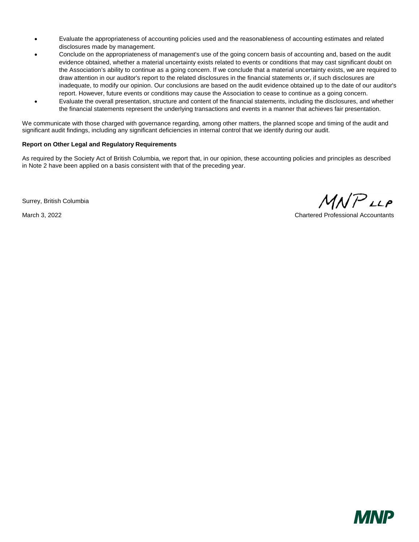- Evaluate the appropriateness of accounting policies used and the reasonableness of accounting estimates and related disclosures made by management.
- Conclude on the appropriateness of management's use of the going concern basis of accounting and, based on the audit evidence obtained, whether a material uncertainty exists related to events or conditions that may cast significant doubt on the Association's ability to continue as a going concern. If we conclude that a material uncertainty exists, we are required to draw attention in our auditor's report to the related disclosures in the financial statements or, if such disclosures are inadequate, to modify our opinion. Our conclusions are based on the audit evidence obtained up to the date of our auditor's report. However, future events or conditions may cause the Association to cease to continue as a going concern.
- Evaluate the overall presentation, structure and content of the financial statements, including the disclosures, and whether the financial statements represent the underlying transactions and events in a manner that achieves fair presentation.

We communicate with those charged with governance regarding, among other matters, the planned scope and timing of the audit and significant audit findings, including any significant deficiencies in internal control that we identify during our audit.

## **Report on Other Legal and Regulatory Requirements**

As required by the Society Act of British Columbia, we report that, in our opinion, these accounting policies and principles as described in Note 2 have been applied on a basis consistent with that of the preceding year.

Surrey, British Columbia

 $MNP$ LLP

March 3, 2022 Chartered Professional Accountants

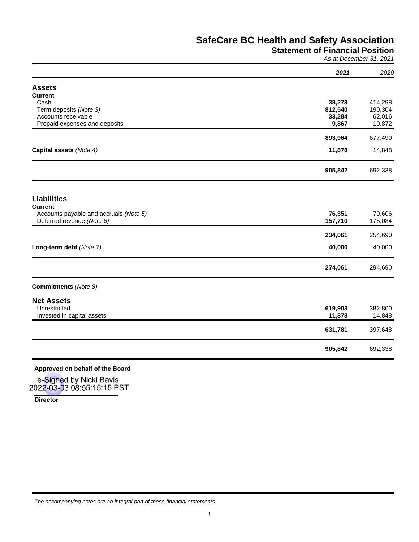## **Statement of Financial Position**

*As at December 31, 2021*

|                                                                     | 2021              | 2020              |
|---------------------------------------------------------------------|-------------------|-------------------|
| <b>Assets</b>                                                       |                   |                   |
| <b>Current</b>                                                      |                   |                   |
| Cash                                                                | 38,273            | 414,298           |
| Term deposits (Note 3)                                              | 812,540           | 190,304           |
| Accounts receivable                                                 | 33,284            | 62,016            |
| Prepaid expenses and deposits                                       | 9,867             | 10,872            |
|                                                                     | 893,964           | 677,490           |
| Capital assets (Note 4)                                             | 11,878            | 14,848            |
|                                                                     | 905,842           | 692,338           |
| <b>Liabilities</b>                                                  |                   |                   |
| <b>Current</b>                                                      |                   |                   |
| Accounts payable and accruals (Note 5)<br>Deferred revenue (Note 6) | 76,351<br>157,710 | 79,606<br>175,084 |
|                                                                     | 234,061           | 254,690           |
| Long-term debt (Note 7)                                             | 40,000            | 40,000            |
|                                                                     | 274,061           | 294,690           |
| <b>Commitments</b> (Note 8)                                         |                   |                   |
| <b>Net Assets</b>                                                   |                   |                   |
| Unrestricted                                                        | 619,903           | 382,800           |
| Invested in capital assets                                          | 11,878            | 14,848            |
|                                                                     | 631,781           | 397,648           |
|                                                                     |                   |                   |
|                                                                     | 905,842           | 692,338           |
| Approved on behalf of the Board                                     |                   |                   |

e-Signed by Nicki Bavis<br>2022-03-03 08:55:15:15 PST

**Director** 

*The accompanying notes are an integral part of these financial statements*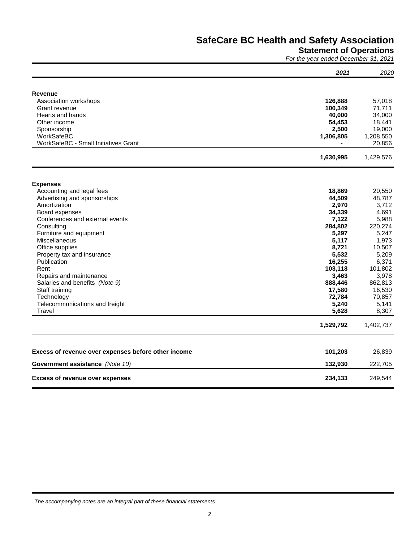## **Statement of Operations**

*For the year ended December 31, 2021*

|                                                           | 2021             | 2020             |
|-----------------------------------------------------------|------------------|------------------|
|                                                           |                  |                  |
| <b>Revenue</b>                                            |                  |                  |
| Association workshops                                     | 126,888          | 57,018           |
| Grant revenue                                             | 100,349          | 71,711           |
| Hearts and hands                                          | 40,000           | 34,000           |
| Other income                                              | 54,453           | 18,441           |
| Sponsorship                                               | 2,500            | 19,000           |
| WorkSafeBC                                                | 1,306,805        | 1,208,550        |
| <b>WorkSafeBC - Small Initiatives Grant</b>               |                  | 20,856           |
|                                                           | 1,630,995        | 1,429,576        |
| <b>Expenses</b>                                           |                  |                  |
| Accounting and legal fees                                 | 18,869           | 20,550           |
| Advertising and sponsorships                              | 44,509           | 48,787           |
| Amortization                                              | 2,970            | 3,712            |
| Board expenses                                            | 34,339           | 4,691            |
| Conferences and external events                           | 7,122            | 5,988            |
| Consulting                                                | 284,802          | 220,274          |
| Furniture and equipment                                   | 5,297            | 5,247            |
| Miscellaneous                                             | 5,117            | 1,973            |
| Office supplies                                           | 8,721            | 10,507           |
| Property tax and insurance                                | 5,532            | 5,209            |
| Publication                                               | 16,255           | 6,371            |
| Rent                                                      | 103,118          | 101,802          |
| Repairs and maintenance<br>Salaries and benefits (Note 9) | 3,463<br>888,446 | 3,978<br>862,813 |
| Staff training                                            | 17,580           | 16,530           |
| Technology                                                | 72,784           | 70,857           |
| Telecommunications and freight                            | 5,240            | 5,141            |
| Travel                                                    | 5,628            | 8,307            |
|                                                           | 1,529,792        | 1,402,737        |
|                                                           |                  |                  |
| Excess of revenue over expenses before other income       | 101,203          | 26,839           |
| Government assistance (Note 10)                           | 132,930          | 222,705          |
| <b>Excess of revenue over expenses</b>                    | 234,133          | 249,544          |

*The accompanying notes are an integral part of these financial statements*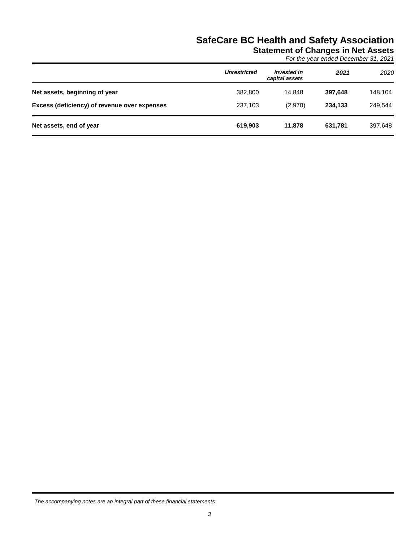**Statement of Changes in Net Assets**

| For the year ended December 31, 2021 |  |
|--------------------------------------|--|
|--------------------------------------|--|

|                                              | <b>Unrestricted</b> | <i>Invested in</i><br>capital assets | 2021    | 2020    |
|----------------------------------------------|---------------------|--------------------------------------|---------|---------|
| Net assets, beginning of year                | 382,800             | 14.848                               | 397.648 | 148,104 |
| Excess (deficiency) of revenue over expenses | 237,103             | (2,970)                              | 234.133 | 249,544 |
| Net assets, end of year                      | 619,903             | 11.878                               | 631.781 | 397,648 |

*The accompanying notes are an integral part of these financial statements*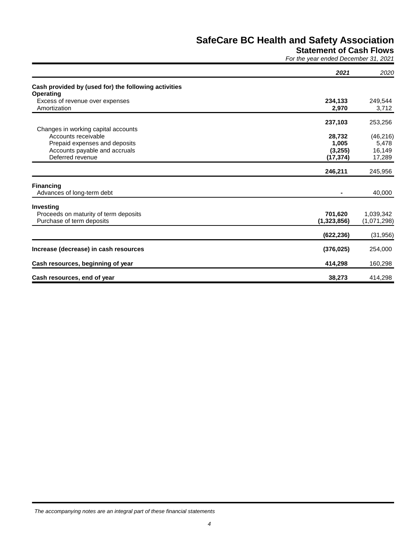**Statement of Cash Flows**

*For the year ended December 31, 2021*

|                                                                                                                                                  | 2021                                               | 2020                                   |
|--------------------------------------------------------------------------------------------------------------------------------------------------|----------------------------------------------------|----------------------------------------|
| Cash provided by (used for) the following activities<br><b>Operating</b>                                                                         |                                                    |                                        |
| Excess of revenue over expenses<br>Amortization                                                                                                  | 234,133<br>2,970                                   | 249,544<br>3,712                       |
|                                                                                                                                                  | 237,103                                            | 253,256                                |
| Changes in working capital accounts<br>Accounts receivable<br>Prepaid expenses and deposits<br>Accounts payable and accruals<br>Deferred revenue | 28,732<br>1,005<br>(3,255)<br>(17, 374)<br>246,211 | (46, 216)<br>5,478<br>16,149<br>17,289 |
|                                                                                                                                                  |                                                    | 245,956                                |
| <b>Financing</b><br>Advances of long-term debt                                                                                                   |                                                    | 40,000                                 |
| Investing<br>Proceeds on maturity of term deposits<br>Purchase of term deposits                                                                  | 701,620<br>(1,323,856)                             | 1,039,342<br>(1,071,298)               |
|                                                                                                                                                  | (622, 236)                                         | (31, 956)                              |
| Increase (decrease) in cash resources                                                                                                            | (376, 025)                                         | 254,000                                |
| Cash resources, beginning of year                                                                                                                | 414,298                                            | 160,298                                |
| Cash resources, end of year                                                                                                                      | 38,273                                             | 414,298                                |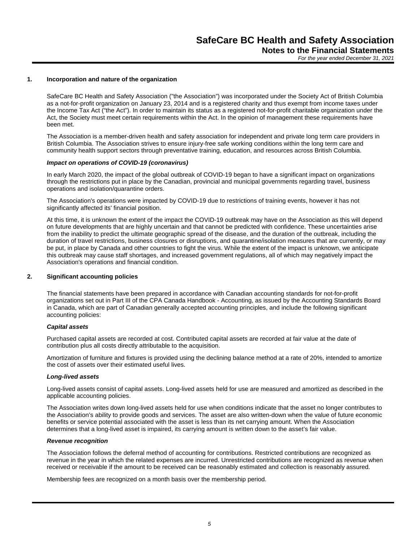#### **1. Incorporation and nature of the organization**

SafeCare BC Health and Safety Association ("the Association") was incorporated under the Society Act of British Columbia as a not-for-profit organization on January 23, 2014 and is a registered charity and thus exempt from income taxes under the Income Tax Act ("the Act"). In order to maintain its status as a registered not-for-profit charitable organization under the Act, the Society must meet certain requirements within the Act. In the opinion of management these requirements have been met.

The Association is a member-driven health and safety association for independent and private long term care providers in British Columbia. The Association strives to ensure injury-free safe working conditions within the long term care and community health support sectors through preventative training, education, and resources across British Columbia.

#### *Impact on operations of COVID-19 (coronavirus)*

In early March 2020, the impact of the global outbreak of COVID-19 began to have a significant impact on organizations through the restrictions put in place by the Canadian, provincial and municipal governments regarding travel, business operations and isolation/quarantine orders.

The Association's operations were impacted by COVID-19 due to restrictions of training events, however it has not significantly affected its' financial position.

At this time, it is unknown the extent of the impact the COVID-19 outbreak may have on the Association as this will depend on future developments that are highly uncertain and that cannot be predicted with confidence. These uncertainties arise from the inability to predict the ultimate geographic spread of the disease, and the duration of the outbreak, including the duration of travel restrictions, business closures or disruptions, and quarantine/isolation measures that are currently, or may be put, in place by Canada and other countries to fight the virus. While the extent of the impact is unknown, we anticipate this outbreak may cause staff shortages, and increased government regulations, all of which may negatively impact the Association's operations and financial condition.

## **2. Significant accounting policies**

The financial statements have been prepared in accordance with Canadian accounting standards for not-for-profit organizations set out in Part III of the CPA Canada Handbook - Accounting, as issued by the Accounting Standards Board in Canada, which are part of Canadian generally accepted accounting principles, and include the following significant accounting policies:

#### *Capital assets*

Purchased capital assets are recorded at cost. Contributed capital assets are recorded at fair value at the date of contribution plus all costs directly attributable to the acquisition.

Amortization of furniture and fixtures is provided using the declining balance method at a rate of 20%, intended to amortize the cost of assets over their estimated useful lives.

## *Long-lived assets*

Long-lived assets consist of capital assets. Long-lived assets held for use are measured and amortized as described in the applicable accounting policies.

The Association writes down long-lived assets held for use when conditions indicate that the asset no longer contributes to the Association's ability to provide goods and services. The asset are also written-down when the value of future economic benefits or service potential associated with the asset is less than its net carrying amount. When the Association determines that a long-lived asset is impaired, its carrying amount is written down to the asset's fair value.

#### *Revenue recognition*

The Association follows the deferral method of accounting for contributions. Restricted contributions are recognized as revenue in the year in which the related expenses are incurred. Unrestricted contributions are recognized as revenue when received or receivable if the amount to be received can be reasonably estimated and collection is reasonably assured.

Membership fees are recognized on a month basis over the membership period.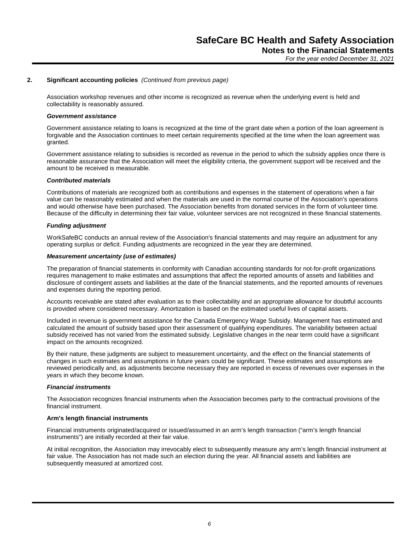#### **2. Significant accounting policies** *(Continued from previous page)*

Association workshop revenues and other income is recognized as revenue when the underlying event is held and collectability is reasonably assured.

#### *Government assistance*

Government assistance relating to loans is recognized at the time of the grant date when a portion of the loan agreement is forgivable and the Association continues to meet certain requirements specified at the time when the loan agreement was granted.

Government assistance relating to subsidies is recorded as revenue in the period to which the subsidy applies once there is reasonable assurance that the Association will meet the eligibility criteria, the government support will be received and the amount to be received is measurable.

#### *Contributed materials*

Contributions of materials are recognized both as contributions and expenses in the statement of operations when a fair value can be reasonably estimated and when the materials are used in the normal course of the Association's operations and would otherwise have been purchased. The Association benefits from donated services in the form of volunteer time. Because of the difficulty in determining their fair value, volunteer services are not recognized in these financial statements.

#### *Funding adjustment*

WorkSafeBC conducts an annual review of the Association's financial statements and may require an adjustment for any operating surplus or deficit. Funding adjustments are recognized in the year they are determined.

#### *Measurement uncertainty (use of estimates)*

The preparation of financial statements in conformity with Canadian accounting standards for not-for-profit organizations requires management to make estimates and assumptions that affect the reported amounts of assets and liabilities and disclosure of contingent assets and liabilities at the date of the financial statements, and the reported amounts of revenues and expenses during the reporting period.

Accounts receivable are stated after evaluation as to their collectability and an appropriate allowance for doubtful accounts is provided where considered necessary. Amortization is based on the estimated useful lives of capital assets.

Included in revenue is government assistance for the Canada Emergency Wage Subsidy. Management has estimated and calculated the amount of subsidy based upon their assessment of qualifying expenditures. The variability between actual subsidy received has not varied from the estimated subsidy. Legislative changes in the near term could have a significant impact on the amounts recognized.

By their nature, these judgments are subject to measurement uncertainty, and the effect on the financial statements of changes in such estimates and assumptions in future years could be significant. These estimates and assumptions are reviewed periodically and, as adjustments become necessary they are reported in excess of revenues over expenses in the years in which they become known.

#### *Financial instruments*

The Association recognizes financial instruments when the Association becomes party to the contractual provisions of the financial instrument.

#### **Arm's length financial instruments**

Financial instruments originated/acquired or issued/assumed in an arm's length transaction ("arm's length financial instruments") are initially recorded at their fair value.

At initial recognition, the Association may irrevocably elect to subsequently measure any arm's length financial instrument at fair value. The Association has not made such an election during the year. All financial assets and liabilities are subsequently measured at amortized cost.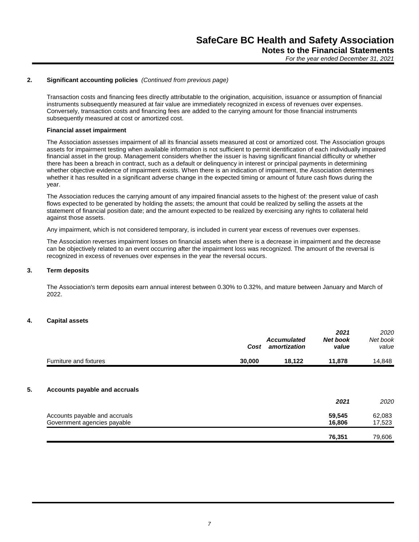*For the year ended December 31, 2021*

## **2. Significant accounting policies** *(Continued from previous page)*

Transaction costs and financing fees directly attributable to the origination, acquisition, issuance or assumption of financial instruments subsequently measured at fair value are immediately recognized in excess of revenues over expenses. Conversely, transaction costs and financing fees are added to the carrying amount for those financial instruments subsequently measured at cost or amortized cost.

## **Financial asset impairment**

The Association assesses impairment of all its financial assets measured at cost or amortized cost. The Association groups assets for impairment testing when available information is not sufficient to permit identification of each individually impaired financial asset in the group. Management considers whether the issuer is having significant financial difficulty or whether there has been a breach in contract, such as a default or delinquency in interest or principal payments in determining whether objective evidence of impairment exists. When there is an indication of impairment, the Association determines whether it has resulted in a significant adverse change in the expected timing or amount of future cash flows during the year.

The Association reduces the carrying amount of any impaired financial assets to the highest of: the present value of cash flows expected to be generated by holding the assets; the amount that could be realized by selling the assets at the statement of financial position date; and the amount expected to be realized by exercising any rights to collateral held against those assets.

Any impairment, which is not considered temporary, is included in current year excess of revenues over expenses.

The Association reverses impairment losses on financial assets when there is a decrease in impairment and the decrease can be objectively related to an event occurring after the impairment loss was recognized. The amount of the reversal is recognized in excess of revenues over expenses in the year the reversal occurs.

## **3. Term deposits**

The Association's term deposits earn annual interest between 0.30% to 0.32%, and mature between January and March of 2022.

## **4. Capital assets**

|                               | Cost   | <b>Accumulated</b><br>amortization | 2021<br><b>Net book</b><br>value | 2020<br>Net book<br>value |
|-------------------------------|--------|------------------------------------|----------------------------------|---------------------------|
| Furniture and fixtures        | 30,000 | 18,122                             | 11,878                           | 14,848                    |
| Accounts payable and accruals |        |                                    |                                  |                           |
|                               |        |                                    | 2021                             | 2020                      |
| Accounts payable and accruals |        |                                    | 59,545                           | 62,083                    |
| Government agencies payable   |        |                                    | 16,806                           | 17,523                    |
|                               |        |                                    | 76,351                           | 79.606                    |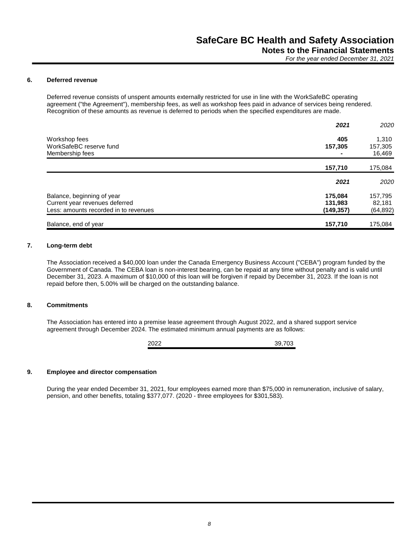## **6. Deferred revenue**

Deferred revenue consists of unspent amounts externally restricted for use in line with the WorkSafeBC operating agreement ("the Agreement"), membership fees, as well as workshop fees paid in advance of services being rendered. Recognition of these amounts as revenue is deferred to periods when the specified expenditures are made.

|                                       | 2021       | 2020      |
|---------------------------------------|------------|-----------|
| Workshop fees                         | 405        | 1,310     |
| WorkSafeBC reserve fund               | 157,305    | 157,305   |
| Membership fees                       |            | 16,469    |
|                                       | 157,710    | 175,084   |
|                                       | 2021       | 2020      |
| Balance, beginning of year            | 175,084    | 157,795   |
| Current year revenues deferred        | 131,983    | 82,181    |
| Less: amounts recorded in to revenues | (149, 357) | (64, 892) |
| Balance, end of year                  | 157,710    | 175,084   |

## **7. Long-term debt**

The Association received a \$40,000 loan under the Canada Emergency Business Account ("CEBA") program funded by the Government of Canada. The CEBA loan is non-interest bearing, can be repaid at any time without penalty and is valid until December 31, 2023. A maximum of \$10,000 of this loan will be forgiven if repaid by December 31, 2023. If the loan is not repaid before then, 5.00% will be charged on the outstanding balance.

## **8. Commitments**

The Association has entered into a premise lease agreement through August 2022, and a shared support service agreement through December 2024. The estimated minimum annual payments are as follows:

2022 39,703

#### **9. Employee and director compensation**

During the year ended December 31, 2021, four employees earned more than \$75,000 in remuneration, inclusive of salary, pension, and other benefits, totaling \$377,077. (2020 - three employees for \$301,583).